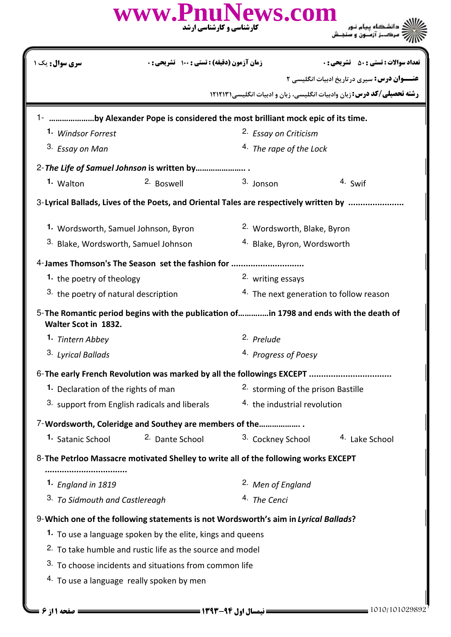|                                                                                                                 | www.PnuNews.com                                            | <b>کارشناسی و کارشناسی ارشد</b> |                                               |                                                                               |  |
|-----------------------------------------------------------------------------------------------------------------|------------------------------------------------------------|---------------------------------|-----------------------------------------------|-------------------------------------------------------------------------------|--|
| <b>سری سوال :</b> یک ۱                                                                                          | زمان آزمون (دقيقه) : تستى : 100 تشريحي : 0                 |                                 |                                               | <b>تعداد سوالات : تستي : 50 ٪ تشريحي : 0</b>                                  |  |
|                                                                                                                 |                                                            |                                 |                                               | <b>عنـــوان درس:</b> سیری درتاریخ ادبیات انگلیسی ۲                            |  |
|                                                                                                                 |                                                            |                                 |                                               | <b>رشته تحصیلی/کد درس:</b> زبان وادبیات انگلیسی، زبان و ادبیات انگلیسی(۱۲۱۲۱۳ |  |
| 1- by Alexander Pope is considered the most brilliant mock epic of its time.                                    |                                                            |                                 |                                               |                                                                               |  |
| 1. Windsor Forrest                                                                                              |                                                            |                                 | <sup>2.</sup> Essay on Criticism              |                                                                               |  |
| <sup>3</sup> Essay on Man                                                                                       |                                                            |                                 | 4. The rape of the Lock                       |                                                                               |  |
| 2- The Life of Samuel Johnson is written by                                                                     |                                                            |                                 |                                               |                                                                               |  |
| 1. Walton                                                                                                       | 2. Boswell                                                 |                                 | 3. Jonson                                     | 4. Swif                                                                       |  |
| 3-Lyrical Ballads, Lives of the Poets, and Oriental Tales are respectively written by                           |                                                            |                                 |                                               |                                                                               |  |
| 1. Wordsworth, Samuel Johnson, Byron                                                                            |                                                            |                                 | <sup>2.</sup> Wordsworth, Blake, Byron        |                                                                               |  |
| 3. Blake, Wordsworth, Samuel Johnson                                                                            |                                                            |                                 | <sup>4.</sup> Blake, Byron, Wordsworth        |                                                                               |  |
| 4-James Thomson's The Season set the fashion for                                                                |                                                            |                                 |                                               |                                                                               |  |
| 1. the poetry of theology                                                                                       |                                                            |                                 | 2. writing essays                             |                                                                               |  |
| 3. the poetry of natural description                                                                            |                                                            |                                 |                                               | 4. The next generation to follow reason                                       |  |
| 5- The Romantic period begins with the publication ofin 1798 and ends with the death of<br>Walter Scot in 1832. |                                                            |                                 |                                               |                                                                               |  |
| <sup>1.</sup> Tintern Abbey                                                                                     |                                                            |                                 | 2. Prelude                                    |                                                                               |  |
| 3. Lyrical Ballads                                                                                              |                                                            |                                 | 4. Progress of Poesy                          |                                                                               |  |
| 6- The early French Revolution was marked by all the followings EXCEPT                                          |                                                            |                                 |                                               |                                                                               |  |
| 1. Declaration of the rights of man                                                                             |                                                            |                                 | <sup>2.</sup> storming of the prison Bastille |                                                                               |  |
|                                                                                                                 | 3. support from English radicals and liberals              |                                 | 4. the industrial revolution                  |                                                                               |  |
| 7-Wordsworth, Coleridge and Southey are members of the                                                          |                                                            |                                 |                                               |                                                                               |  |
| 1. Satanic School                                                                                               | 2. Dante School                                            |                                 | 3. Cockney School                             | <sup>4.</sup> Lake School                                                     |  |
| 8-The Petrloo Massacre motivated Shelley to write all of the following works EXCEPT                             |                                                            |                                 |                                               |                                                                               |  |
| 1. England in 1819                                                                                              |                                                            |                                 | <sup>2.</sup> Men of England                  |                                                                               |  |
| 3. To Sidmouth and Castlereagh                                                                                  |                                                            |                                 | 4. The Cenci                                  |                                                                               |  |
| 9-Which one of the following statements is not Wordsworth's aim in Lyrical Ballads?                             |                                                            |                                 |                                               |                                                                               |  |
|                                                                                                                 | 1. To use a language spoken by the elite, kings and queens |                                 |                                               |                                                                               |  |
| <sup>2.</sup> To take humble and rustic life as the source and model                                            |                                                            |                                 |                                               |                                                                               |  |
|                                                                                                                 | 3. To choose incidents and situations from common life     |                                 |                                               |                                                                               |  |
|                                                                                                                 | 4. To use a language really spoken by men                  |                                 |                                               |                                                                               |  |
|                                                                                                                 |                                                            |                                 |                                               |                                                                               |  |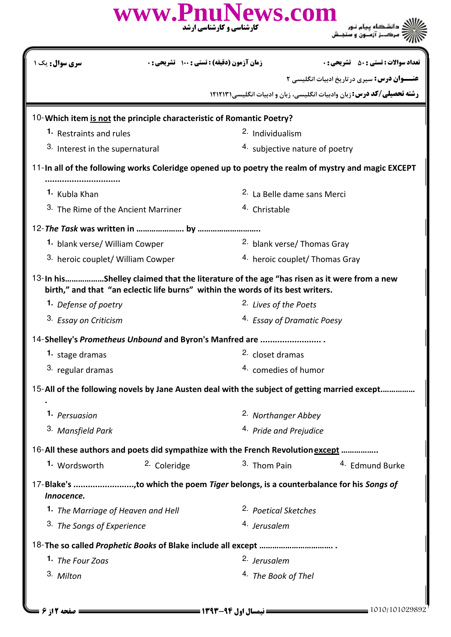|                                                                                 | www.PnuNews.com<br><b>کارشناسی و کارشناسی ارشد</b> |                                                                                                     |  |
|---------------------------------------------------------------------------------|----------------------------------------------------|-----------------------------------------------------------------------------------------------------|--|
| سری سوال: یک ۱                                                                  | زمان آزمون (دقيقه) : تستى : 100 تشريحي : 0         | <b>تعداد سوالات : تستي : 50 ٪ تشريحي : 0</b>                                                        |  |
|                                                                                 |                                                    | <b>عنـــوان درس:</b> سیری درتاریخ ادبیات انگلیسی ۲                                                  |  |
|                                                                                 |                                                    | <b>رشته تحصیلی/کد درس:</b> زبان وادبیات انگلیسی، زبان و ادبیات انگلیسی ۱۲۱۲۱۳۱                      |  |
| 10-Which item is not the principle characteristic of Romantic Poetry?           |                                                    |                                                                                                     |  |
| 1. Restraints and rules                                                         |                                                    | <sup>2.</sup> Individualism                                                                         |  |
| 3. Interest in the supernatural                                                 |                                                    | 4. subjective nature of poetry                                                                      |  |
|                                                                                 |                                                    | 11-In all of the following works Coleridge opened up to poetry the realm of mystry and magic EXCEPT |  |
| <sup>1.</sup> Kubla Khan                                                        |                                                    | 2. La Belle dame sans Merci                                                                         |  |
| 3. The Rime of the Ancient Marriner                                             |                                                    | <sup>4.</sup> Christable                                                                            |  |
|                                                                                 |                                                    |                                                                                                     |  |
| 1. blank verse/ William Cowper                                                  |                                                    | <sup>2.</sup> blank verse/ Thomas Gray                                                              |  |
| 3. heroic couplet/ William Cowper                                               |                                                    | 4. heroic couplet/ Thomas Gray                                                                      |  |
| birth," and that "an eclectic life burns" within the words of its best writers. |                                                    | 13-In hisShelley claimed that the literature of the age "has risen as it were from a new            |  |
| 1. Defense of poetry                                                            |                                                    | 2. Lives of the Poets                                                                               |  |
| <sup>3.</sup> Essay on Criticism                                                |                                                    | <sup>4.</sup> Essay of Dramatic Poesy                                                               |  |
| 14-Shelley's Prometheus Unbound and Byron's Manfred are                         |                                                    |                                                                                                     |  |
| 1. stage dramas                                                                 |                                                    | 2. closet dramas                                                                                    |  |
| 3. regular dramas                                                               |                                                    | 4. comedies of humor                                                                                |  |
|                                                                                 |                                                    | 15-All of the following novels by Jane Austen deal with the subject of getting married except       |  |
| 1. Persuasion                                                                   |                                                    | <sup>2.</sup> Northanger Abbey                                                                      |  |
| 3. Mansfield Park                                                               |                                                    | 4. Pride and Prejudice                                                                              |  |
|                                                                                 |                                                    | 16-All these authors and poets did sympathize with the French Revolution except                     |  |
| 1. Wordsworth                                                                   | <sup>2.</sup> Coleridge                            | 3. Thom Pain<br><sup>4.</sup> Edmund Burke                                                          |  |
| Innocence.                                                                      |                                                    | 17-Blake's to which the poem Tiger belongs, is a counterbalance for his Songs of                    |  |
| 1. The Marriage of Heaven and Hell                                              |                                                    | <sup>2.</sup> Poetical Sketches                                                                     |  |
| 3. The Songs of Experience                                                      |                                                    | <sup>4.</sup> Jerusalem                                                                             |  |
|                                                                                 |                                                    |                                                                                                     |  |
| 1. The Four Zoas                                                                |                                                    | 2. Jerusalem                                                                                        |  |
| 3. Milton                                                                       |                                                    | 4. The Book of Thel                                                                                 |  |
|                                                                                 |                                                    |                                                                                                     |  |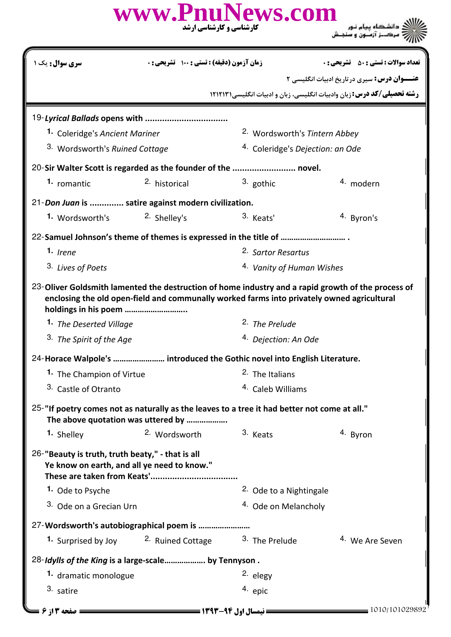|                                                                                                 |                                                   | www.PnuNews.com<br>کارشناسی و کارشناسی ارشد                                                  |                                                                                                    |  |  |
|-------------------------------------------------------------------------------------------------|---------------------------------------------------|----------------------------------------------------------------------------------------------|----------------------------------------------------------------------------------------------------|--|--|
| <b>سری سوال :</b> یک ۱                                                                          | <b>زمان آزمون (دقیقه) : تستی : ۱۰۰ تشریحی : 0</b> |                                                                                              | <b>تعداد سوالات : تستي : 50 ٪ تشريحي : 0</b>                                                       |  |  |
|                                                                                                 |                                                   |                                                                                              | <b>عنـــوان درس:</b> سیری درتاریخ ادبیات انگلیسی ۲                                                 |  |  |
|                                                                                                 |                                                   |                                                                                              | <b>رشته تحصیلی/کد درس: :</b> زبان وادبیات انگلیسی، زبان و ادبیات انگلیسی ۱۲۱۲۱۳۱                   |  |  |
|                                                                                                 |                                                   |                                                                                              |                                                                                                    |  |  |
|                                                                                                 | 1. Coleridge's Ancient Mariner                    |                                                                                              | <sup>2.</sup> Wordsworth's Tintern Abbey                                                           |  |  |
|                                                                                                 | <sup>3.</sup> Wordsworth's Ruined Cottage         |                                                                                              | <sup>4.</sup> Coleridge's Dejection: an Ode                                                        |  |  |
|                                                                                                 |                                                   | 20-Sir Walter Scott is regarded as the founder of the  novel.                                |                                                                                                    |  |  |
| 1. romantic                                                                                     | <sup>2.</sup> historical                          | 3. gothic                                                                                    | 4. modern                                                                                          |  |  |
| 21-Don Juan is  satire against modern civilization.                                             |                                                   |                                                                                              |                                                                                                    |  |  |
| 1. Wordsworth's                                                                                 | <sup>2.</sup> Shelley's                           | 3. Keats'                                                                                    | 4. Byron's                                                                                         |  |  |
|                                                                                                 |                                                   |                                                                                              |                                                                                                    |  |  |
| $1.$ Irene                                                                                      |                                                   | <sup>2.</sup> Sartor Resartus                                                                |                                                                                                    |  |  |
| 3. Lives of Poets                                                                               |                                                   | 4. Vanity of Human Wishes                                                                    |                                                                                                    |  |  |
| holdings in his poem                                                                            |                                                   | enclosing the old open-field and communally worked farms into privately owned agricultural   | 23-Oliver Goldsmith lamented the destruction of home industry and a rapid growth of the process of |  |  |
| 1. The Deserted Village                                                                         |                                                   | <sup>2</sup> . The Prelude                                                                   |                                                                                                    |  |  |
| 3. The Spirit of the Age                                                                        |                                                   | <sup>4.</sup> Dejection: An Ode                                                              |                                                                                                    |  |  |
|                                                                                                 |                                                   | 24-Horace Walpole's  introduced the Gothic novel into English Literature.                    |                                                                                                    |  |  |
| 1. The Champion of Virtue                                                                       |                                                   | <sup>2.</sup> The Italians                                                                   |                                                                                                    |  |  |
| 3. Castle of Otranto                                                                            |                                                   |                                                                                              | <sup>4.</sup> Caleb Williams                                                                       |  |  |
| The above quotation was uttered by                                                              |                                                   | 25-"If poetry comes not as naturally as the leaves to a tree it had better not come at all." |                                                                                                    |  |  |
| 1. Shelley                                                                                      | 2. Wordsworth                                     | 3. Keats                                                                                     | 4. Byron                                                                                           |  |  |
| 26-"Beauty is truth, truth beaty," - that is all<br>Ye know on earth, and all ye need to know." |                                                   |                                                                                              |                                                                                                    |  |  |
| 1. Ode to Psyche                                                                                |                                                   | <sup>2.</sup> Ode to a Nightingale                                                           |                                                                                                    |  |  |
| 3. Ode on a Grecian Urn                                                                         |                                                   | <sup>4.</sup> Ode on Melancholy                                                              |                                                                                                    |  |  |
| 27-Wordsworth's autobiographical poem is                                                        |                                                   |                                                                                              |                                                                                                    |  |  |
|                                                                                                 |                                                   | 1. Surprised by Joy 2. Ruined Cottage 3. The Prelude                                         | 4. We Are Seven                                                                                    |  |  |
| 28-Idylls of the King is a large-scale by Tennyson.                                             |                                                   |                                                                                              |                                                                                                    |  |  |
| 1. dramatic monologue                                                                           |                                                   | <sup>2.</sup> elegy                                                                          |                                                                                                    |  |  |
| 3. satire                                                                                       |                                                   | 4. epic                                                                                      |                                                                                                    |  |  |
| ــــــــــــــ صفحه ۱۳ از ۶ ـــا                                                                |                                                   |                                                                                              | 1010/101029892                                                                                     |  |  |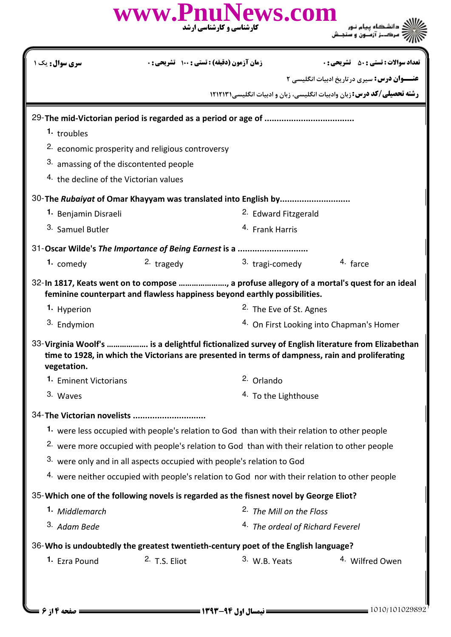|                                                                                                         |                                                             | www.PnuNews.com<br><b>کارشناسی و کارشناسی ارشد</b>                                               |                                                                                                  |  |
|---------------------------------------------------------------------------------------------------------|-------------------------------------------------------------|--------------------------------------------------------------------------------------------------|--------------------------------------------------------------------------------------------------|--|
| سری سوال: یک ۱                                                                                          | زمان آزمون (دقیقه) : تستی : ۱۰۰٪ تشریحی : ۰                 |                                                                                                  | <b>تعداد سوالات : تستي : 50 ٪ تشريحي : 0</b>                                                     |  |
|                                                                                                         |                                                             |                                                                                                  | <b>عنـــوان درس:</b> سیری درتاریخ ادبیات انگلیسی ۲                                               |  |
|                                                                                                         |                                                             |                                                                                                  | <b>رشته تحصیلی/کد درس:</b> زبان وادبیات انگلیسی، زبان و ادبیات انگلیسی/۱۲۱۲۱۳۱                   |  |
|                                                                                                         |                                                             |                                                                                                  |                                                                                                  |  |
| 1. troubles                                                                                             |                                                             |                                                                                                  |                                                                                                  |  |
|                                                                                                         | <sup>2.</sup> economic prosperity and religious controversy |                                                                                                  |                                                                                                  |  |
| 3. amassing of the discontented people                                                                  |                                                             |                                                                                                  |                                                                                                  |  |
| <sup>4.</sup> the decline of the Victorian values                                                       |                                                             |                                                                                                  |                                                                                                  |  |
|                                                                                                         |                                                             | 30-The Rubaiyat of Omar Khayyam was translated into English by                                   |                                                                                                  |  |
| 1. Benjamin Disraeli                                                                                    |                                                             | <sup>2.</sup> Edward Fitzgerald                                                                  |                                                                                                  |  |
| 3. Samuel Butler                                                                                        |                                                             | <sup>4.</sup> Frank Harris                                                                       |                                                                                                  |  |
| 31-Oscar Wilde's The Importance of Being Earnest is a                                                   |                                                             |                                                                                                  |                                                                                                  |  |
| 1. comedy                                                                                               | $2.$ tragedy                                                | 3. tragi-comedy                                                                                  | 4. farce                                                                                         |  |
|                                                                                                         |                                                             | feminine counterpart and flawless happiness beyond earthly possibilities.                        | 32-In 1817, Keats went on to compose , a profuse allegory of a mortal's quest for an ideal       |  |
| 1. Hyperion                                                                                             |                                                             | <sup>2.</sup> The Eve of St. Agnes                                                               |                                                                                                  |  |
| 3. Endymion                                                                                             |                                                             |                                                                                                  | <sup>4.</sup> On First Looking into Chapman's Homer                                              |  |
| vegetation.                                                                                             |                                                             | time to 1928, in which the Victorians are presented in terms of dampness, rain and proliferating | 33-Virginia Woolf's  is a delightful fictionalized survey of English literature from Elizabethan |  |
| 1. Eminent Victorians                                                                                   |                                                             | <sup>2.</sup> Orlando                                                                            |                                                                                                  |  |
| 3. Waves                                                                                                |                                                             | 4. To the Lighthouse                                                                             |                                                                                                  |  |
| 34-The Victorian novelists                                                                              |                                                             |                                                                                                  |                                                                                                  |  |
|                                                                                                         |                                                             | 1. were less occupied with people's relation to God than with their relation to other people     |                                                                                                  |  |
| <sup>2.</sup> were more occupied with people's relation to God than with their relation to other people |                                                             |                                                                                                  |                                                                                                  |  |
| <sup>3.</sup> were only and in all aspects occupied with people's relation to God                       |                                                             |                                                                                                  |                                                                                                  |  |
|                                                                                                         |                                                             | 4. were neither occupied with people's relation to God nor with their relation to other people   |                                                                                                  |  |
|                                                                                                         |                                                             | 35-Which one of the following novels is regarded as the fisnest novel by George Eliot?           |                                                                                                  |  |
| 1. Middlemarch                                                                                          |                                                             | <sup>2</sup> . The Mill on the Floss                                                             |                                                                                                  |  |
| 3. Adam Bede                                                                                            |                                                             | 4. The ordeal of Richard Feverel                                                                 |                                                                                                  |  |
|                                                                                                         |                                                             | 36-Who is undoubtedly the greatest twentieth-century poet of the English language?               |                                                                                                  |  |
| 1. Ezra Pound                                                                                           | $2.$ T.S. Eliot                                             | 3. W.B. Yeats                                                                                    | 4. Wilfred Owen                                                                                  |  |
|                                                                                                         |                                                             |                                                                                                  |                                                                                                  |  |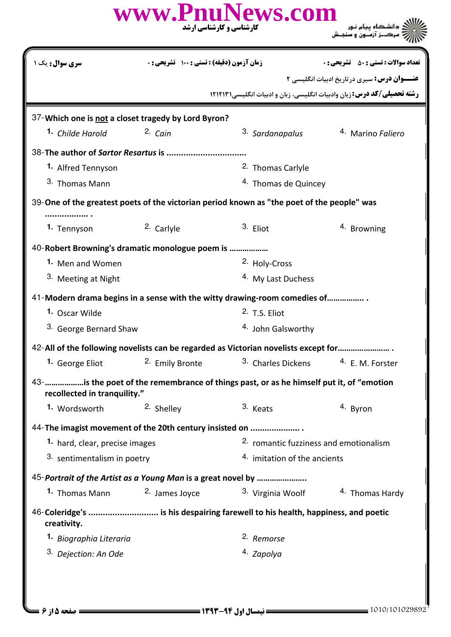|                                                         |                                            | www.PnuNews.com<br>کارشناسی و کارشناسی ارشد                                                |                                                    |  |
|---------------------------------------------------------|--------------------------------------------|--------------------------------------------------------------------------------------------|----------------------------------------------------|--|
| <b>سری سوال :</b> یک ۱                                  | زمان آزمون (دقیقه) : تستی : ۱۰۰٪ تشریحی: ۰ |                                                                                            | <b>تعداد سوالات : تستي : 50 ٪ تشريحي : 0</b>       |  |
|                                                         |                                            | <b>رشته تحصیلی/کد درس:</b> زبان وادبیات انگلیسی، زبان و ادبیات انگلیسی ۱۲۱۲۱۳۱             | <b>عنـــوان درس:</b> سیری درتاریخ ادبیات انگلیسی ۲ |  |
| 37-Which one is not a closet tragedy by Lord Byron?     |                                            |                                                                                            |                                                    |  |
| <sup>1</sup> Childe Harold                              | $2.$ Cain                                  | <sup>3.</sup> Sardanapalus                                                                 | 4. Marino Faliero                                  |  |
| 38-The author of Sartor Resartus is                     |                                            |                                                                                            |                                                    |  |
| 1. Alfred Tennyson                                      |                                            | <sup>2.</sup> Thomas Carlyle                                                               |                                                    |  |
| 3. Thomas Mann                                          |                                            | 4. Thomas de Quincey                                                                       |                                                    |  |
|                                                         |                                            | 39-One of the greatest poets of the victorian period known as "the poet of the people" was |                                                    |  |
| 1. Tennyson                                             | <sup>2.</sup> Carlyle                      | 3. Eliot                                                                                   | <sup>4.</sup> Browning                             |  |
| 40- Robert Browning's dramatic monologue poem is        |                                            |                                                                                            |                                                    |  |
| 1. Men and Women                                        |                                            | <sup>2.</sup> Holy-Cross                                                                   |                                                    |  |
| 3. Meeting at Night                                     |                                            | <sup>4.</sup> My Last Duchess                                                              |                                                    |  |
|                                                         |                                            | 41-Modern drama begins in a sense with the witty drawing-room comedies of                  |                                                    |  |
| 1. Oscar Wilde                                          |                                            | 2. T.S. Eliot                                                                              |                                                    |  |
| 3. George Bernard Shaw                                  |                                            | <sup>4.</sup> John Galsworthy                                                              |                                                    |  |
|                                                         |                                            | 42-All of the following novelists can be regarded as Victorian novelists except for        |                                                    |  |
| 1. George Eliot                                         | 2. Emily Bronte                            | <sup>3.</sup> Charles Dickens                                                              | 4. E. M. Forster                                   |  |
| recollected in tranquility."                            |                                            | 43-    is the poet of the remembrance of things past, or as he himself put it, of "emotion |                                                    |  |
| 1. Wordsworth                                           | 2. Shelley                                 | 3. Keats                                                                                   | 4. Byron                                           |  |
| 44-The imagist movement of the 20th century insisted on |                                            |                                                                                            |                                                    |  |
| 1. hard, clear, precise images                          |                                            |                                                                                            | 2. romantic fuzziness and emotionalism             |  |
| 3. sentimentalism in poetry                             |                                            | 4. imitation of the ancients                                                               |                                                    |  |
|                                                         |                                            | 45-Portrait of the Artist as a Young Man is a great novel by                               |                                                    |  |
| 1. Thomas Mann                                          | 2. James Joyce                             | 3. Virginia Woolf                                                                          | <sup>4.</sup> Thomas Hardy                         |  |
| creativity.                                             |                                            | 46-Coleridge's  is his despairing farewell to his health, happiness, and poetic            |                                                    |  |
| <sup>1.</sup> Biographia Literaria                      |                                            | 2. Remorse                                                                                 |                                                    |  |
| 3. Dejection: An Ode                                    |                                            | 4. Zapolya                                                                                 |                                                    |  |
|                                                         |                                            |                                                                                            |                                                    |  |